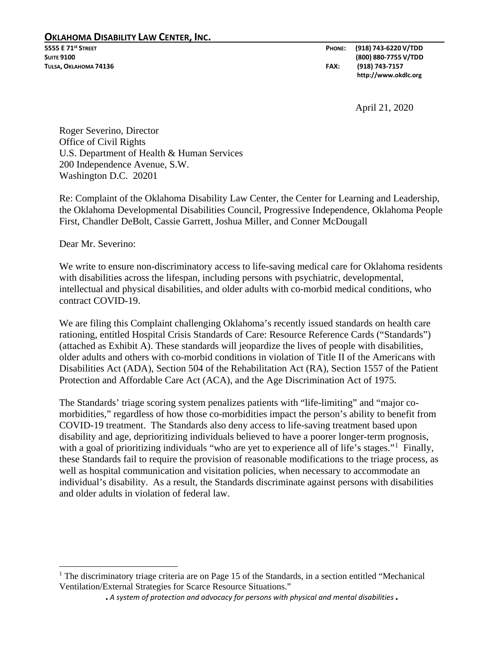### **OKLAHOMA DISABILITY LAW CENTER, INC.**

**5555 E 71st STREET PHONE: (918) 743-6220 V/TDD SUITE 9100 (800) 880-7755 V/TDD TULSA, OKLAHOMA 74136 FAX: (918) 743-7157 http://www.okdlc.org**

April 21, 2020

Roger Severino, Director Office of Civil Rights U.S. Department of Health & Human Services 200 Independence Avenue, S.W. Washington D.C. 20201

Re: Complaint of the Oklahoma Disability Law Center, the Center for Learning and Leadership, the Oklahoma Developmental Disabilities Council, Progressive Independence, Oklahoma People First, Chandler DeBolt, Cassie Garrett, Joshua Miller, and Conner McDougall

Dear Mr. Severino:

 $\overline{\phantom{a}}$ 

We write to ensure non-discriminatory access to life-saving medical care for Oklahoma residents with disabilities across the lifespan, including persons with psychiatric, developmental, intellectual and physical disabilities, and older adults with co-morbid medical conditions, who contract COVID-19.

We are filing this Complaint challenging Oklahoma's recently issued standards on health care rationing, entitled Hospital Crisis Standards of Care: Resource Reference Cards ("Standards") (attached as Exhibit A). These standards will jeopardize the lives of people with disabilities, older adults and others with co-morbid conditions in violation of Title II of the Americans with Disabilities Act (ADA), Section 504 of the Rehabilitation Act (RA), Section 1557 of the Patient Protection and Affordable Care Act (ACA), and the Age Discrimination Act of 1975.

The Standards' triage scoring system penalizes patients with "life-limiting" and "major comorbidities," regardless of how those co-morbidities impact the person's ability to benefit from COVID-19 treatment. The Standards also deny access to life-saving treatment based upon disability and age, deprioritizing individuals believed to have a poorer longer-term prognosis, with a goal of prioritizing individuals "who are yet to experience all of life's stages."<sup>[1](#page-0-0)</sup> Finally, these Standards fail to require the provision of reasonable modifications to the triage process, as well as hospital communication and visitation policies, when necessary to accommodate an individual's disability. As a result, the Standards discriminate against persons with disabilities and older adults in violation of federal law.

<span id="page-0-0"></span> $<sup>1</sup>$  The discriminatory triage criteria are on Page 15 of the Standards, in a section entitled "Mechanical"</sup> Ventilation/External Strategies for Scarce Resource Situations."

<sup>■</sup> *A system of protection and advocacy for persons with physical and mental disabilities* ■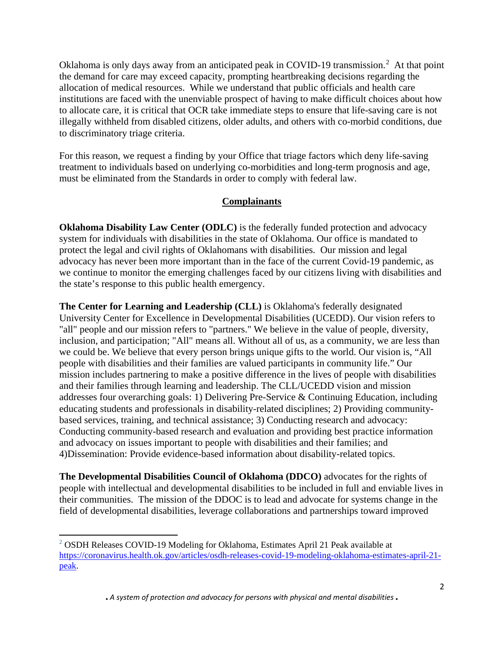Oklahoma is only days away from an anticipated peak in COVID-19 transmission.<sup>[2](#page-1-0)</sup> At that point the demand for care may exceed capacity, prompting heartbreaking decisions regarding the allocation of medical resources. While we understand that public officials and health care institutions are faced with the unenviable prospect of having to make difficult choices about how to allocate care, it is critical that OCR take immediate steps to ensure that life-saving care is not illegally withheld from disabled citizens, older adults, and others with co-morbid conditions, due to discriminatory triage criteria.

For this reason, we request a finding by your Office that triage factors which deny life-saving treatment to individuals based on underlying co-morbidities and long-term prognosis and age, must be eliminated from the Standards in order to comply with federal law.

# **Complainants**

**Oklahoma Disability Law Center (ODLC)** is the federally funded protection and advocacy system for individuals with disabilities in the state of Oklahoma. Our office is mandated to protect the legal and civil rights of Oklahomans with disabilities. Our mission and legal advocacy has never been more important than in the face of the current Covid-19 pandemic, as we continue to monitor the emerging challenges faced by our citizens living with disabilities and the state's response to this public health emergency.

**The Center for Learning and Leadership (CLL)** is Oklahoma's federally designated University Center for Excellence in Developmental Disabilities (UCEDD). Our vision refers to "all" people and our mission refers to "partners." We believe in the value of people, diversity, inclusion, and participation; "All" means all. Without all of us, as a community, we are less than we could be. We believe that every person brings unique gifts to the world. Our vision is, "All people with disabilities and their families are valued participants in community life." Our mission includes partnering to make a positive difference in the lives of people with disabilities and their families through learning and leadership. The CLL/UCEDD vision and mission addresses four overarching goals: 1) Delivering Pre-Service & Continuing Education, including educating students and professionals in disability-related disciplines; 2) Providing communitybased services, training, and technical assistance; 3) Conducting research and advocacy: Conducting community-based research and evaluation and providing best practice information and advocacy on issues important to people with disabilities and their families; and 4)Dissemination: Provide evidence-based information about disability-related topics.

**The Developmental Disabilities Council of Oklahoma (DDCO)** advocates for the rights of people with intellectual and developmental disabilities to be included in full and enviable lives in their communities. The mission of the DDOC is to lead and advocate for systems change in the field of developmental disabilities, leverage collaborations and partnerships toward improved

l

<span id="page-1-0"></span><sup>2</sup> OSDH Releases COVID-19 Modeling for Oklahoma, Estimates April 21 Peak available at [https://coronavirus.health.ok.gov/articles/osdh-releases-covid-19-modeling-oklahoma-estimates-april-21](https://coronavirus.health.ok.gov/articles/osdh-releases-covid-19-modeling-oklahoma-estimates-april-21-peak) [peak.](https://coronavirus.health.ok.gov/articles/osdh-releases-covid-19-modeling-oklahoma-estimates-april-21-peak)

<sup>■</sup> *A system of protection and advocacy for persons with physical and mental disabilities* ■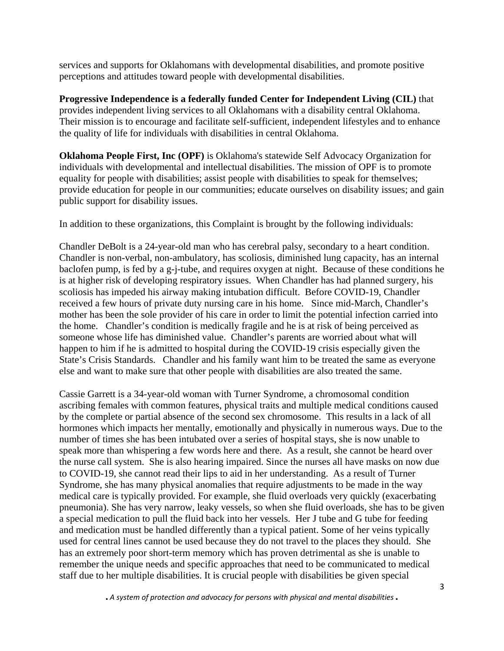services and supports for Oklahomans with developmental disabilities, and promote positive perceptions and attitudes toward people with developmental disabilities.

**Progressive Independence is a federally funded Center for Independent Living (CIL)** that provides independent living services to all Oklahomans with a disability central Oklahoma. Their mission is to encourage and facilitate self-sufficient, independent lifestyles and to enhance the quality of life for individuals with disabilities in central Oklahoma.

**Oklahoma People First, Inc (OPF)** is Oklahoma's statewide Self Advocacy Organization for individuals with developmental and intellectual disabilities. The mission of OPF is to promote equality for people with disabilities; assist people with disabilities to speak for themselves; provide education for people in our communities; educate ourselves on disability issues; and gain public support for disability issues.

In addition to these organizations, this Complaint is brought by the following individuals:

Chandler DeBolt is a 24-year-old man who has cerebral palsy, secondary to a heart condition. Chandler is non-verbal, non-ambulatory, has scoliosis, diminished lung capacity, has an internal baclofen pump, is fed by a g-j-tube, and requires oxygen at night. Because of these conditions he is at higher risk of developing respiratory issues. When Chandler has had planned surgery, his scoliosis has impeded his airway making intubation difficult. Before COVID-19, Chandler received a few hours of private duty nursing care in his home. Since mid-March, Chandler's mother has been the sole provider of his care in order to limit the potential infection carried into the home. Chandler's condition is medically fragile and he is at risk of being perceived as someone whose life has diminished value. Chandler's parents are worried about what will happen to him if he is admitted to hospital during the COVID-19 crisis especially given the State's Crisis Standards. Chandler and his family want him to be treated the same as everyone else and want to make sure that other people with disabilities are also treated the same.

Cassie Garrett is a 34-year-old woman with Turner Syndrome, a chromosomal condition ascribing females with common features, physical traits and multiple medical conditions caused by the complete or partial absence of the second sex chromosome. This results in a lack of all hormones which impacts her mentally, emotionally and physically in numerous ways. Due to the number of times she has been intubated over a series of hospital stays, she is now unable to speak more than whispering a few words here and there. As a result, she cannot be heard over the nurse call system. She is also hearing impaired. Since the nurses all have masks on now due to COVID-19, she cannot read their lips to aid in her understanding. As a result of Turner Syndrome, she has many physical anomalies that require adjustments to be made in the way medical care is typically provided. For example, she fluid overloads very quickly (exacerbating pneumonia). She has very narrow, leaky vessels, so when she fluid overloads, she has to be given a special medication to pull the fluid back into her vessels. Her J tube and G tube for feeding and medication must be handled differently than a typical patient. Some of her veins typically used for central lines cannot be used because they do not travel to the places they should. She has an extremely poor short-term memory which has proven detrimental as she is unable to remember the unique needs and specific approaches that need to be communicated to medical staff due to her multiple disabilities. It is crucial people with disabilities be given special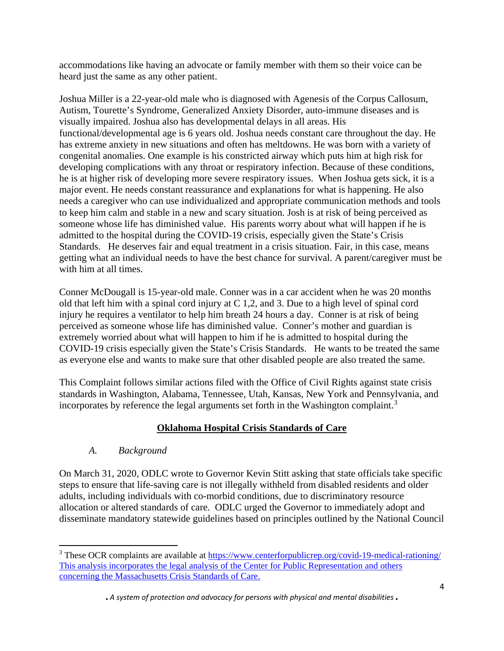accommodations like having an advocate or family member with them so their voice can be heard just the same as any other patient.

Joshua Miller is a 22-year-old male who is diagnosed with Agenesis of the Corpus Callosum, Autism, Tourette's Syndrome, Generalized Anxiety Disorder, auto-immune diseases and is visually impaired. Joshua also has developmental delays in all areas. His functional/developmental age is 6 years old. Joshua needs constant care throughout the day. He has extreme anxiety in new situations and often has meltdowns. He was born with a variety of congenital anomalies. One example is his constricted airway which puts him at high risk for developing complications with any throat or respiratory infection. Because of these conditions, he is at higher risk of developing more severe respiratory issues. When Joshua gets sick, it is a major event. He needs constant reassurance and explanations for what is happening. He also needs a caregiver who can use individualized and appropriate communication methods and tools to keep him calm and stable in a new and scary situation. Josh is at risk of being perceived as someone whose life has diminished value. His parents worry about what will happen if he is admitted to the hospital during the COVID-19 crisis, especially given the State's Crisis Standards. He deserves fair and equal treatment in a crisis situation. Fair, in this case, means getting what an individual needs to have the best chance for survival. A parent/caregiver must be with him at all times.

Conner McDougall is 15-year-old male. Conner was in a car accident when he was 20 months old that left him with a spinal cord injury at C 1,2, and 3. Due to a high level of spinal cord injury he requires a ventilator to help him breath 24 hours a day. Conner is at risk of being perceived as someone whose life has diminished value. Conner's mother and guardian is extremely worried about what will happen to him if he is admitted to hospital during the COVID-19 crisis especially given the State's Crisis Standards. He wants to be treated the same as everyone else and wants to make sure that other disabled people are also treated the same.

This Complaint follows similar actions filed with the Office of Civil Rights against state crisis standards in Washington, Alabama, Tennessee, Utah, Kansas, New York and Pennsylvania, and incorporates by reference the legal arguments set forth in the Washington complaint.<sup>[3](#page-3-0)</sup>

# **Oklahoma Hospital Crisis Standards of Care**

### *A. Background*

 $\overline{a}$ 

On March 31, 2020, ODLC wrote to Governor Kevin Stitt asking that state officials take specific steps to ensure that life-saving care is not illegally withheld from disabled residents and older adults, including individuals with co-morbid conditions, due to discriminatory resource allocation or altered standards of care. ODLC urged the Governor to immediately adopt and disseminate mandatory statewide guidelines based on principles outlined by the National Council

<span id="page-3-0"></span><sup>&</sup>lt;sup>3</sup> These OCR complaints are available at<https://www.centerforpublicrep.org/covid-19-medical-rationing/> This analysis incorporates the legal analysis of the Center for Public Representation and others concerning the Massachusetts Crisis Standards of Care.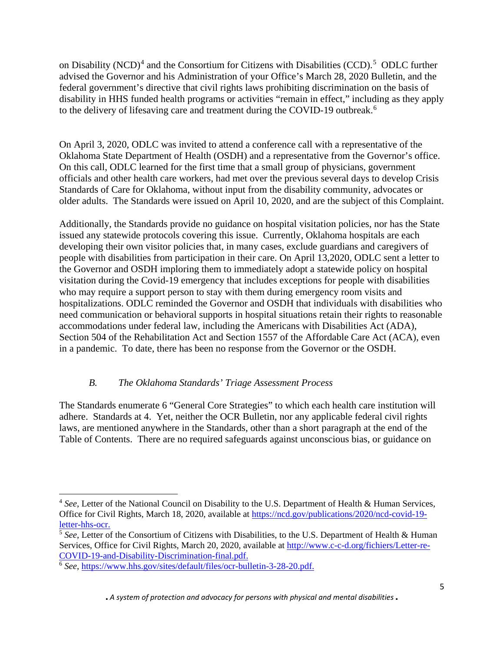on Disability (NCD)<sup>[4](#page-4-0)</sup> and the Consortium for Citizens with Disabilities (CCD).<sup>[5](#page-4-1)</sup> ODLC further advised the Governor and his Administration of your Office's March 28, 2020 Bulletin, and the federal government's directive that civil rights laws prohibiting discrimination on the basis of disability in HHS funded health programs or activities "remain in effect," including as they apply to the delivery of lifesaving care and treatment during the COVID-19 outbreak.<sup>[6](#page-4-2)</sup>

On April 3, 2020, ODLC was invited to attend a conference call with a representative of the Oklahoma State Department of Health (OSDH) and a representative from the Governor's office. On this call, ODLC learned for the first time that a small group of physicians, government officials and other health care workers, had met over the previous several days to develop Crisis Standards of Care for Oklahoma, without input from the disability community, advocates or older adults. The Standards were issued on April 10, 2020, and are the subject of this Complaint.

Additionally, the Standards provide no guidance on hospital visitation policies, nor has the State issued any statewide protocols covering this issue. Currently, Oklahoma hospitals are each developing their own visitor policies that, in many cases, exclude guardians and caregivers of people with disabilities from participation in their care. On April 13,2020, ODLC sent a letter to the Governor and OSDH imploring them to immediately adopt a statewide policy on hospital visitation during the Covid-19 emergency that includes exceptions for people with disabilities who may require a support person to stay with them during emergency room visits and hospitalizations. ODLC reminded the Governor and OSDH that individuals with disabilities who need communication or behavioral supports in hospital situations retain their rights to reasonable accommodations under federal law, including the Americans with Disabilities Act (ADA), Section 504 of the Rehabilitation Act and Section 1557 of the Affordable Care Act (ACA), even in a pandemic. To date, there has been no response from the Governor or the OSDH.

# *B. The Oklahoma Standards' Triage Assessment Process*

The Standards enumerate 6 "General Core Strategies" to which each health care institution will adhere. Standards at 4. Yet, neither the OCR Bulletin, nor any applicable federal civil rights laws, are mentioned anywhere in the Standards, other than a short paragraph at the end of the Table of Contents. There are no required safeguards against unconscious bias, or guidance on

l

<span id="page-4-0"></span><sup>&</sup>lt;sup>4</sup> See, Letter of the National Council on Disability to the U.S. Department of Health & Human Services, Office for Civil Rights, March 18, 2020, available at [https://ncd.gov/publications/2020/ncd-covid-19](https://ncd.gov/publications/2020/ncd-covid-19-letter-hhs-ocr) [letter-hhs-ocr.](https://ncd.gov/publications/2020/ncd-covid-19-letter-hhs-ocr)

<span id="page-4-1"></span><sup>&</sup>lt;sup>5</sup> See, Letter of the Consortium of Citizens with Disabilities, to the U.S. Department of Health & Human Services, Office for Civil Rights, March 20, 2020, available at [http://www.c-c-d.org/fichiers/Letter-re-](http://www.c-c-d.org/fichiers/Letter-re-COVID-19-and-Disability-Discrimination-final.pdf)[COVID-19-and-Disability-Discrimination-final.pdf.](http://www.c-c-d.org/fichiers/Letter-re-COVID-19-and-Disability-Discrimination-final.pdf)

<span id="page-4-2"></span><sup>6</sup> *See*, [https://www.hhs.gov/sites/default/files/ocr-bulletin-3-28-20.pdf.](https://www.hhs.gov/sites/default/files/ocr-bulletin-3-28-20.pdf)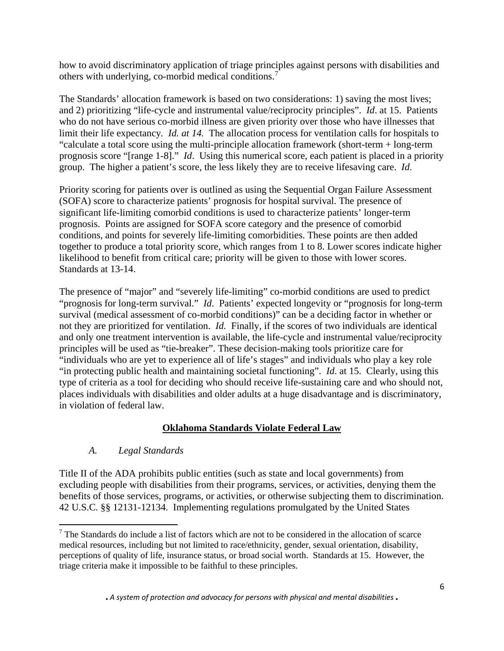how to avoid discriminatory application of triage principles against persons with disabilities and others with underlying, co-morbid medical conditions.[7](#page-5-0)

The Standards' allocation framework is based on two considerations: 1) saving the most lives; and 2) prioritizing "life-cycle and instrumental value/reciprocity principles". *Id*. at 15. Patients who do not have serious co-morbid illness are given priority over those who have illnesses that limit their life expectancy*. Id. at 14.* The allocation process for ventilation calls for hospitals to "calculate a total score using the multi-principle allocation framework (short-term + long-term prognosis score "[range 1-8]." *Id*. Using this numerical score, each patient is placed in a priority group. The higher a patient's score, the less likely they are to receive lifesaving care. *Id*.

Priority scoring for patients over is outlined as using the Sequential Organ Failure Assessment (SOFA) score to characterize patients' prognosis for hospital survival. The presence of significant life-limiting comorbid conditions is used to characterize patients' longer-term prognosis. Points are assigned for SOFA score category and the presence of comorbid conditions, and points for severely life-limiting comorbidities. These points are then added together to produce a total priority score, which ranges from 1 to 8. Lower scores indicate higher likelihood to benefit from critical care; priority will be given to those with lower scores. Standards at 13-14.

The presence of "major" and "severely life-limiting" co-morbid conditions are used to predict "prognosis for long-term survival." *Id*. Patients' expected longevity or "prognosis for long-term survival (medical assessment of co-morbid conditions)" can be a deciding factor in whether or not they are prioritized for ventilation. *Id.* Finally, if the scores of two individuals are identical and only one treatment intervention is available, the life-cycle and instrumental value/reciprocity principles will be used as "tie-breaker". These decision-making tools prioritize care for "individuals who are yet to experience all of life's stages" and individuals who play a key role "in protecting public health and maintaining societal functioning". *Id*. at 15. Clearly, using this type of criteria as a tool for deciding who should receive life-sustaining care and who should not, places individuals with disabilities and older adults at a huge disadvantage and is discriminatory, in violation of federal law.

# **Oklahoma Standards Violate Federal Law**

# *A. Legal Standards*

 $\overline{\phantom{a}}$ 

Title II of the ADA prohibits public entities (such as state and local governments) from excluding people with disabilities from their programs, services, or activities, denying them the benefits of those services, programs, or activities, or otherwise subjecting them to discrimination. 42 U.S.C. §§ 12131-12134. Implementing regulations promulgated by the United States

<span id="page-5-0"></span><sup>7</sup> The Standards do include a list of factors which are not to be considered in the allocation of scarce medical resources, including but not limited to race/ethnicity, gender, sexual orientation, disability, perceptions of quality of life, insurance status, or broad social worth. Standards at 15. However, the triage criteria make it impossible to be faithful to these principles.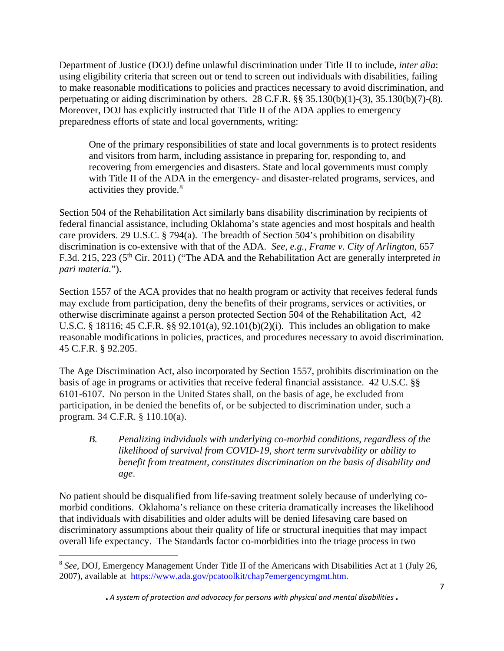Department of Justice (DOJ) define unlawful discrimination under Title II to include, *inter alia*: using eligibility criteria that screen out or tend to screen out individuals with disabilities, failing to make reasonable modifications to policies and practices necessary to avoid discrimination, and perpetuating or aiding discrimination by others. 28 C.F.R. §§ 35.130(b)(1)-(3), 35.130(b)(7)-(8). Moreover, DOJ has explicitly instructed that Title II of the ADA applies to emergency preparedness efforts of state and local governments, writing:

One of the primary responsibilities of state and local governments is to protect residents and visitors from harm, including assistance in preparing for, responding to, and recovering from emergencies and disasters. State and local governments must comply with Title II of the ADA in the emergency- and disaster-related programs, services, and activities they provide.[8](#page-6-0)

Section 504 of the Rehabilitation Act similarly bans disability discrimination by recipients of federal financial assistance, including Oklahoma's state agencies and most hospitals and health care providers. 29 U.S.C. § 794(a). The breadth of Section 504's prohibition on disability discrimination is co-extensive with that of the ADA. *See, e.g., Frame v. City of Arlington*, 657 F.3d. 215, 223 (5th Cir. 2011) ("The ADA and the Rehabilitation Act are generally interpreted *in pari materia.*").

Section 1557 of the ACA provides that no health program or activity that receives federal funds may exclude from participation, deny the benefits of their programs, services or activities, or otherwise discriminate against a person protected Section 504 of the Rehabilitation Act, 42 U.S.C. § 18116; 45 C.F.R. §§ 92.101(a), 92.101(b)(2)(i). This includes an obligation to make reasonable modifications in policies, practices, and procedures necessary to avoid discrimination. 45 C.F.R. § 92.205.

The Age Discrimination Act, also incorporated by Section 1557, prohibits discrimination on the basis of age in programs or activities that receive federal financial assistance. 42 U.S.C. §§ 6101-6107. No person in the United States shall, on the basis of age, be excluded from participation, in be denied the benefits of, or be subjected to discrimination under, such a program. 34 C.F.R. § 110.10(a).

*B. Penalizing individuals with underlying co-morbid conditions, regardless of the likelihood of survival from COVID-19, short term survivability or ability to benefit from treatment, constitutes discrimination on the basis of disability and age*.

No patient should be disqualified from life-saving treatment solely because of underlying comorbid conditions. Oklahoma's reliance on these criteria dramatically increases the likelihood that individuals with disabilities and older adults will be denied lifesaving care based on discriminatory assumptions about their quality of life or structural inequities that may impact overall life expectancy. The Standards factor co-morbidities into the triage process in two

<span id="page-6-0"></span> $\overline{\phantom{a}}$ <sup>8</sup> *See*, DOJ, Emergency Management Under Title II of the Americans with Disabilities Act at 1 (July 26, 2007), available at [https://www.ada.gov/pcatoolkit/chap7emergencymgmt.htm.](https://www.ada.gov/pcatoolkit/chap7emergencymgmt.htm)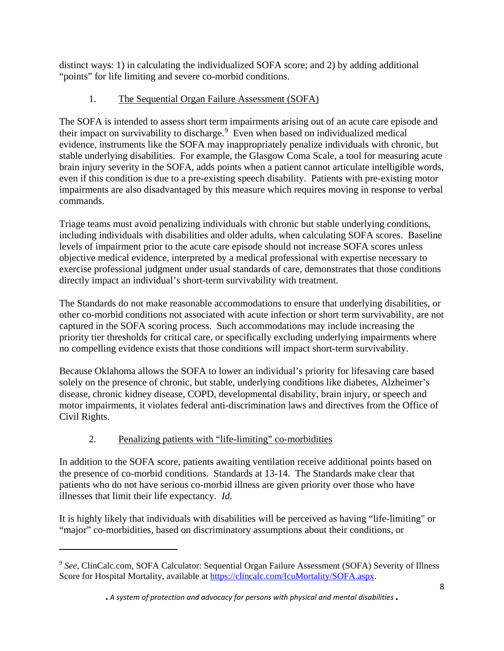distinct ways: 1) in calculating the individualized SOFA score; and 2) by adding additional "points" for life limiting and severe co-morbid conditions.

# 1. The Sequential Organ Failure Assessment (SOFA)

The SOFA is intended to assess short term impairments arising out of an acute care episode and their impact on survivability to discharge.<sup>[9](#page-7-0)</sup> Even when based on individualized medical evidence, instruments like the SOFA may inappropriately penalize individuals with chronic, but stable underlying disabilities. For example, the Glasgow Coma Scale, a tool for measuring acute brain injury severity in the SOFA, adds points when a patient cannot articulate intelligible words, even if this condition is due to a pre-existing speech disability. Patients with pre-existing motor impairments are also disadvantaged by this measure which requires moving in response to verbal commands.

Triage teams must avoid penalizing individuals with chronic but stable underlying conditions, including individuals with disabilities and older adults, when calculating SOFA scores. Baseline levels of impairment prior to the acute care episode should not increase SOFA scores unless objective medical evidence, interpreted by a medical professional with expertise necessary to exercise professional judgment under usual standards of care, demonstrates that those conditions directly impact an individual's short-term survivability with treatment.

The Standards do not make reasonable accommodations to ensure that underlying disabilities, or other co-morbid conditions not associated with acute infection or short term survivability, are not captured in the SOFA scoring process. Such accommodations may include increasing the priority tier thresholds for critical care, or specifically excluding underlying impairments where no compelling evidence exists that those conditions will impact short-term survivability.

Because Oklahoma allows the SOFA to lower an individual's priority for lifesaving care based solely on the presence of chronic, but stable, underlying conditions like diabetes, Alzheimer's disease, chronic kidney disease, COPD, developmental disability, brain injury, or speech and motor impairments, it violates federal anti-discrimination laws and directives from the Office of Civil Rights.

# 2. Penalizing patients with "life-limiting" co-morbidities

 $\overline{a}$ 

In addition to the SOFA score, patients awaiting ventilation receive additional points based on the presence of co-morbid conditions. Standards at 13-14. The Standards make clear that patients who do not have serious co-morbid illness are given priority over those who have illnesses that limit their life expectancy. *Id*.

It is highly likely that individuals with disabilities will be perceived as having "life-limiting" or "major" co-morbidities, based on discriminatory assumptions about their conditions, or

<span id="page-7-0"></span><sup>&</sup>lt;sup>9</sup> See. ClinCalc.com, SOFA Calculator: Sequential Organ Failure Assessment (SOFA) Severity of Illness Score for Hospital Mortality, available at [https://clincalc.com/IcuMortality/SOFA.aspx.](https://clincalc.com/IcuMortality/SOFA.aspx)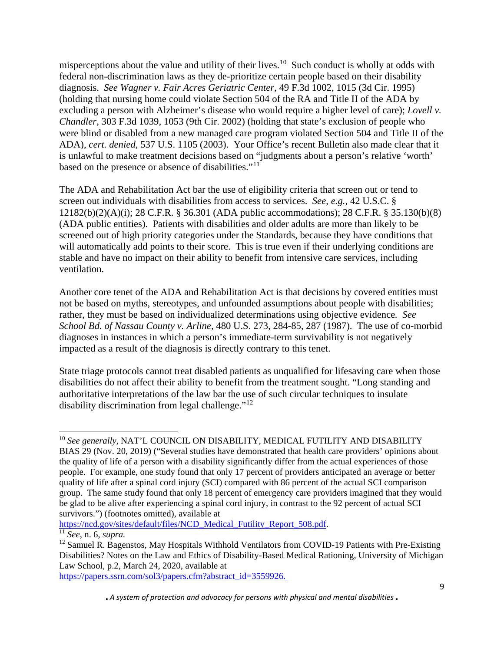misperceptions about the value and utility of their lives.<sup>[10](#page-8-0)</sup> Such conduct is wholly at odds with federal non-discrimination laws as they de-prioritize certain people based on their disability diagnosis. *See Wagner v. Fair Acres Geriatric Center*, 49 F.3d 1002, 1015 (3d Cir. 1995) (holding that nursing home could violate Section 504 of the RA and Title II of the ADA by excluding a person with Alzheimer's disease who would require a higher level of care); *Lovell v. Chandler*, 303 F.3d 1039, 1053 (9th Cir. 2002) (holding that state's exclusion of people who were blind or disabled from a new managed care program violated Section 504 and Title II of the ADA), *cert. denied*, 537 U.S. 1105 (2003). Your Office's recent Bulletin also made clear that it is unlawful to make treatment decisions based on "judgments about a person's relative 'worth' based on the presence or absence of disabilities."[11](#page-8-1)

The ADA and Rehabilitation Act bar the use of eligibility criteria that screen out or tend to screen out individuals with disabilities from access to services. *See*, *e.g.,* 42 U.S.C. § 12182(b)(2)(A)(i); 28 C.F.R. § 36.301 (ADA public accommodations); 28 C.F.R. § 35.130(b)(8) (ADA public entities). Patients with disabilities and older adults are more than likely to be screened out of high priority categories under the Standards, because they have conditions that will automatically add points to their score. This is true even if their underlying conditions are stable and have no impact on their ability to benefit from intensive care services, including ventilation.

Another core tenet of the ADA and Rehabilitation Act is that decisions by covered entities must not be based on myths, stereotypes, and unfounded assumptions about people with disabilities; rather, they must be based on individualized determinations using objective evidence*. See School Bd. of Nassau County v. Arline,* 480 U.S. 273, 284-85, 287 (1987). The use of co-morbid diagnoses in instances in which a person's immediate-term survivability is not negatively impacted as a result of the diagnosis is directly contrary to this tenet.

State triage protocols cannot treat disabled patients as unqualified for lifesaving care when those disabilities do not affect their ability to benefit from the treatment sought. "Long standing and authoritative interpretations of the law bar the use of such circular techniques to insulate disability discrimination from legal challenge." $12$ 

[https://ncd.gov/sites/default/files/NCD\\_Medical\\_Futility\\_Report\\_508.pdf.](https://ncd.gov/sites/default/files/NCD_Medical_Futility_Report_508.pdf)

 $\overline{a}$ 

[https://papers.ssrn.com/sol3/papers.cfm?abstract\\_id=3559926.](https://papers.ssrn.com/sol3/papers.cfm?abstract_id=3559926)

<span id="page-8-0"></span><sup>&</sup>lt;sup>10</sup> See generally, NAT'L COUNCIL ON DISABILITY, MEDICAL FUTILITY AND DISABILITY BIAS 29 (Nov. 20, 2019) ("Several studies have demonstrated that health care providers' opinions about the quality of life of a person with a disability significantly differ from the actual experiences of those people. For example, one study found that only 17 percent of providers anticipated an average or better quality of life after a spinal cord injury (SCI) compared with 86 percent of the actual SCI comparison group. The same study found that only 18 percent of emergency care providers imagined that they would be glad to be alive after experiencing a spinal cord injury, in contrast to the 92 percent of actual SCI survivors.") (footnotes omitted), available at

<span id="page-8-1"></span><sup>11</sup> *See*, n. 6, *supra.*

<span id="page-8-2"></span><sup>&</sup>lt;sup>12</sup> Samuel R. Bagenstos, May Hospitals Withhold Ventilators from COVID-19 Patients with Pre-Existing Disabilities? Notes on the Law and Ethics of Disability-Based Medical Rationing, University of Michigan Law School, p.2, March 24, 2020, available at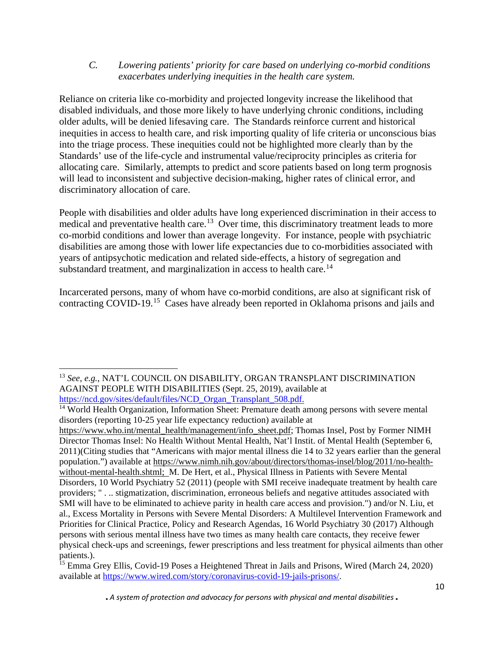#### *C. Lowering patients' priority for care based on underlying co-morbid conditions exacerbates underlying inequities in the health care system.*

Reliance on criteria like co-morbidity and projected longevity increase the likelihood that disabled individuals, and those more likely to have underlying chronic conditions, including older adults, will be denied lifesaving care. The Standards reinforce current and historical inequities in access to health care, and risk importing quality of life criteria or unconscious bias into the triage process. These inequities could not be highlighted more clearly than by the Standards' use of the life-cycle and instrumental value/reciprocity principles as criteria for allocating care. Similarly, attempts to predict and score patients based on long term prognosis will lead to inconsistent and subjective decision-making, higher rates of clinical error, and discriminatory allocation of care.

People with disabilities and older adults have long experienced discrimination in their access to medical and preventative health care.<sup>[13](#page-9-0)</sup> Over time, this discriminatory treatment leads to more co-morbid conditions and lower than average longevity. For instance, people with psychiatric disabilities are among those with lower life expectancies due to co-morbidities associated with years of antipsychotic medication and related side-effects, a history of segregation and substandard treatment, and marginalization in access to health care.<sup>[14](#page-9-1)</sup>

Incarcerated persons, many of whom have co-morbid conditions, are also at significant risk of contracting COVID-19.[15](#page-9-2) Cases have already been reported in Oklahoma prisons and jails and

 $\overline{\phantom{a}}$ 

<span id="page-9-2"></span><sup>15</sup> Emma Grey Ellis, Covid-19 Poses a Heightened Threat in Jails and Prisons, Wired (March 24, 2020) available at [https://www.wired.com/story/coronavirus-covid-19-jails-prisons/.](https://www.wired.com/story/coronavirus-covid-19-jails-prisons/)

<span id="page-9-0"></span><sup>13</sup> *See, e.g.*, NAT'L COUNCIL ON DISABILITY, ORGAN TRANSPLANT DISCRIMINATION AGAINST PEOPLE WITH DISABILITIES (Sept. 25, 2019), available at [https://ncd.gov/sites/default/files/NCD\\_Organ\\_Transplant\\_508.pdf.](https://ncd.gov/sites/default/files/NCD_Organ_Transplant_508.pdf)

<span id="page-9-1"></span><sup>&</sup>lt;sup>14</sup> World Health Organization, Information Sheet: Premature death among persons with severe mental disorders (reporting 10-25 year life expectancy reduction) available at

[https://www.who.int/mental\\_health/management/info\\_sheet.pdf;](https://www.who.int/mental_health/management/info_sheet.pdf) Thomas Insel, Post by Former NIMH Director Thomas Insel: No Health Without Mental Health, Nat'l Instit. of Mental Health (September 6, 2011)(Citing studies that "Americans with major mental illness die 14 to 32 years earlier than the general population.") available at [https://www.nimh.nih.gov/about/directors/thomas-insel/blog/2011/no-health](https://www.nimh.nih.gov/about/directors/thomas-insel/blog/2011/no-health-without-mental-health.shtml)[without-mental-health.shtml;](https://www.nimh.nih.gov/about/directors/thomas-insel/blog/2011/no-health-without-mental-health.shtml) M. De Hert, et al., Physical Illness in Patients with Severe Mental Disorders, 10 World Psychiatry 52 (2011) (people with SMI receive inadequate treatment by health care providers; " . .. stigmatization, discrimination, erroneous beliefs and negative attitudes associated with SMI will have to be eliminated to achieve parity in health care access and provision.") and/or N. Liu, et al., Excess Mortality in Persons with Severe Mental Disorders: A Multilevel Intervention Framework and Priorities for Clinical Practice, Policy and Research Agendas, 16 World Psychiatry 30 (2017) Although persons with serious mental illness have two times as many health care contacts, they receive fewer physical check-ups and screenings, fewer prescriptions and less treatment for physical ailments than other patients.).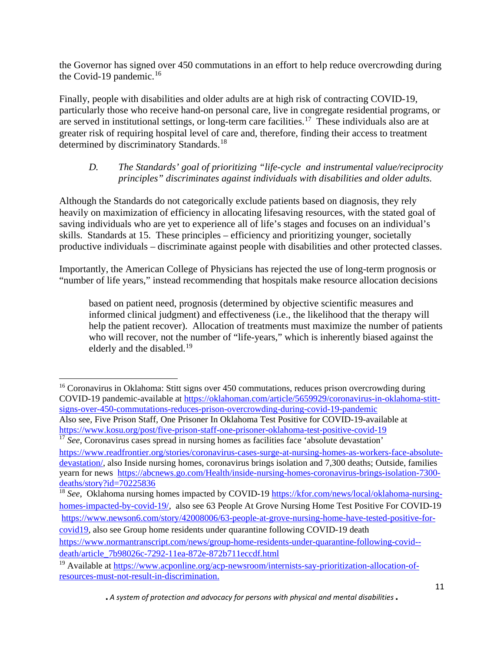the Governor has signed over 450 commutations in an effort to help reduce overcrowding during the Covid-19 pandemic.<sup>[16](#page-10-0)</sup>

Finally, people with disabilities and older adults are at high risk of contracting COVID-19, particularly those who receive hand-on personal care, live in congregate residential programs, or are served in institutional settings, or long-term care facilities.<sup>[17](#page-10-1)</sup> These individuals also are at greater risk of requiring hospital level of care and, therefore, finding their access to treatment determined by discriminatory Standards.<sup>18</sup>

# *D. The Standards' goal of prioritizing "life-cycle and instrumental value/reciprocity principles" discriminates against individuals with disabilities and older adults.*

Although the Standards do not categorically exclude patients based on diagnosis, they rely heavily on maximization of efficiency in allocating lifesaving resources, with the stated goal of saving individuals who are yet to experience all of life's stages and focuses on an individual's skills. Standards at 15. These principles – efficiency and prioritizing younger, societally productive individuals – discriminate against people with disabilities and other protected classes.

Importantly, the American College of Physicians has rejected the use of long-term prognosis or "number of life years," instead recommending that hospitals make resource allocation decisions

based on patient need, prognosis (determined by objective scientific measures and informed clinical judgment) and effectiveness (i.e., the likelihood that the therapy will help the patient recover). Allocation of treatments must maximize the number of patients who will recover, not the number of "life-years," which is inherently biased against the elderly and the disabled.<sup>[19](#page-10-3)</sup>

 $\overline{\phantom{a}}$ 

<span id="page-10-0"></span><sup>&</sup>lt;sup>16</sup> Coronavirus in Oklahoma: Stitt signs over 450 commutations, reduces prison overcrowding during COVID-19 pandemic-available at [https://oklahoman.com/article/5659929/coronavirus-in-oklahoma-stitt](https://oklahoman.com/article/5659929/coronavirus-in-oklahoma-stitt-signs-over-450-commutations-reduces-prison-overcrowding-during-covid-19-pandemic)[signs-over-450-commutations-reduces-prison-overcrowding-during-covid-19-pandemic](https://oklahoman.com/article/5659929/coronavirus-in-oklahoma-stitt-signs-over-450-commutations-reduces-prison-overcrowding-during-covid-19-pandemic) Also see, Five Prison Staff, One Prisoner In Oklahoma Test Positive for COVID-19-available at <https://www.kosu.org/post/five-prison-staff-one-prisoner-oklahoma-test-positive-covid-19>

<span id="page-10-1"></span><sup>&</sup>lt;sup>17</sup> See, Coronavirus cases spread in nursing homes as facilities face 'absolute devastation' [https://www.readfrontier.org/stories/coronavirus-cases-surge-at-nursing-homes-as-workers-face-absolute](https://www.readfrontier.org/stories/coronavirus-cases-surge-at-nursing-homes-as-workers-face-absolute-devastation/)[devastation/,](https://www.readfrontier.org/stories/coronavirus-cases-surge-at-nursing-homes-as-workers-face-absolute-devastation/) also Inside nursing homes, coronavirus brings isolation and 7,300 deaths; Outside, families yearn for news [https://abcnews.go.com/Health/inside-nursing-homes-coronavirus-brings-isolation-7300](https://abcnews.go.com/Health/inside-nursing-homes-coronavirus-brings-isolation-7300-deaths/story?id=70225836) [deaths/story?id=70225836](https://abcnews.go.com/Health/inside-nursing-homes-coronavirus-brings-isolation-7300-deaths/story?id=70225836)

<span id="page-10-2"></span><sup>&</sup>lt;sup>18</sup> *See*, Oklahoma nursing homes impacted by COVID-19 [https://kfor.com/news/local/oklahoma-nursing](https://kfor.com/news/local/oklahoma-nursing-homes-impacted-by-covid-19/)[homes-impacted-by-covid-19/,](https://kfor.com/news/local/oklahoma-nursing-homes-impacted-by-covid-19/) also see 63 People At Grove Nursing Home Test Positive For COVID-19 [https://www.newson6.com/story/42008006/63-people-at-grove-nursing-home-have-tested-positive-for-](https://www.newson6.com/story/42008006/63-people-at-grove-nursing-home-have-tested-positive-for-covid19)

[covid19,](https://www.newson6.com/story/42008006/63-people-at-grove-nursing-home-have-tested-positive-for-covid19) also see Group home residents under quarantine following COVID-19 death

[https://www.normantranscript.com/news/group-home-residents-under-quarantine-following-covid-](https://www.normantranscript.com/news/group-home-residents-under-quarantine-following-covid--death/article_7b98026c-7292-11ea-872e-872b711eccdf.html) [death/article\\_7b98026c-7292-11ea-872e-872b711eccdf.html](https://www.normantranscript.com/news/group-home-residents-under-quarantine-following-covid--death/article_7b98026c-7292-11ea-872e-872b711eccdf.html)

<span id="page-10-3"></span><sup>&</sup>lt;sup>19</sup> Available at [https://www.acponline.org/acp-newsroom/internists-say-prioritization-allocation-of](https://www.acponline.org/acp-newsroom/internists-say-prioritization-allocation-of-resources-must-not-result-in-discrimination)[resources-must-not-result-in-discrimination.](https://www.acponline.org/acp-newsroom/internists-say-prioritization-allocation-of-resources-must-not-result-in-discrimination)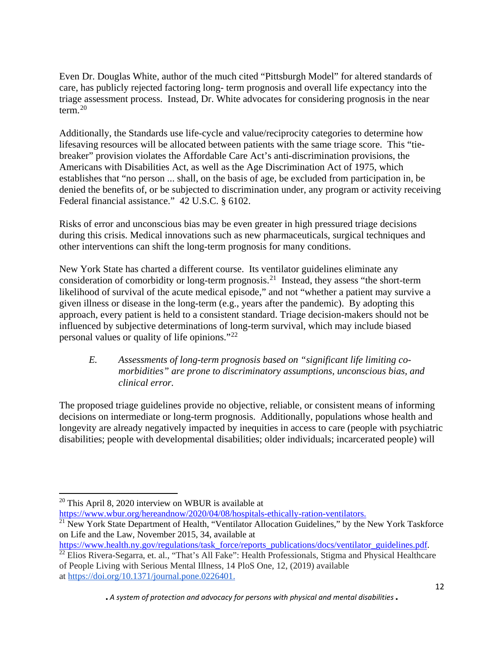Even Dr. Douglas White, author of the much cited "Pittsburgh Model" for altered standards of care, has publicly rejected factoring long- term prognosis and overall life expectancy into the triage assessment process. Instead, Dr. White advocates for considering prognosis in the near term. [20](#page-11-0)

Additionally, the Standards use life-cycle and value/reciprocity categories to determine how lifesaving resources will be allocated between patients with the same triage score. This "tiebreaker" provision violates the Affordable Care Act's anti-discrimination provisions, the Americans with Disabilities Act, as well as the Age Discrimination Act of 1975, which establishes that "no person ... shall, on the basis of age, be excluded from participation in, be denied the benefits of, or be subjected to discrimination under, any program or activity receiving Federal financial assistance." 42 U.S.C. § 6102.

Risks of error and unconscious bias may be even greater in high pressured triage decisions during this crisis. Medical innovations such as new pharmaceuticals, surgical techniques and other interventions can shift the long-term prognosis for many conditions.

New York State has charted a different course. Its ventilator guidelines eliminate any consideration of comorbidity or long-term prognosis.[21](#page-11-1) Instead, they assess "the short-term likelihood of survival of the acute medical episode," and not "whether a patient may survive a given illness or disease in the long-term (e.g., years after the pandemic). By adopting this approach, every patient is held to a consistent standard. Triage decision-makers should not be influenced by subjective determinations of long-term survival, which may include biased personal values or quality of life opinions."[22](#page-11-2)

## *E. Assessments of long-term prognosis based on "significant life limiting comorbidities" are prone to discriminatory assumptions, unconscious bias, and clinical error.*

The proposed triage guidelines provide no objective, reliable, or consistent means of informing decisions on intermediate or long-term prognosis. Additionally, populations whose health and longevity are already negatively impacted by inequities in access to care (people with psychiatric disabilities; people with developmental disabilities; older individuals; incarcerated people) will

l

<span id="page-11-0"></span> $20$  This April 8, 2020 interview on WBUR is available at

[https://www.wbur.org/hereandnow/2020/04/08/hospitals-ethically-ration-ventilators.](https://www.wbur.org/hereandnow/2020/04/08/hospitals-ethically-ration-ventilators)

<span id="page-11-1"></span><sup>&</sup>lt;sup>21</sup> New York State Department of Health, "Ventilator Allocation Guidelines," by the New York Taskforce on Life and the Law, November 2015, 34, available at

[https://www.health.ny.gov/regulations/task\\_force/reports\\_publications/docs/ventilator\\_guidelines.pdf.](https://www.health.ny.gov/regulations/task_force/reports_publications/docs/ventilator_guidelines.pdf)

<span id="page-11-2"></span><sup>&</sup>lt;sup>22</sup> Elios Rivera-Segarra, et. al., "That's All Fake": Health Professionals, Stigma and Physical Healthcare of People Living with Serious Mental Illness, 14 PloS One, 12, (2019) available at [https://doi.org/10.1371/journal.pone.0226401.](https://doi.org/10.1371/journal.pone.0226401)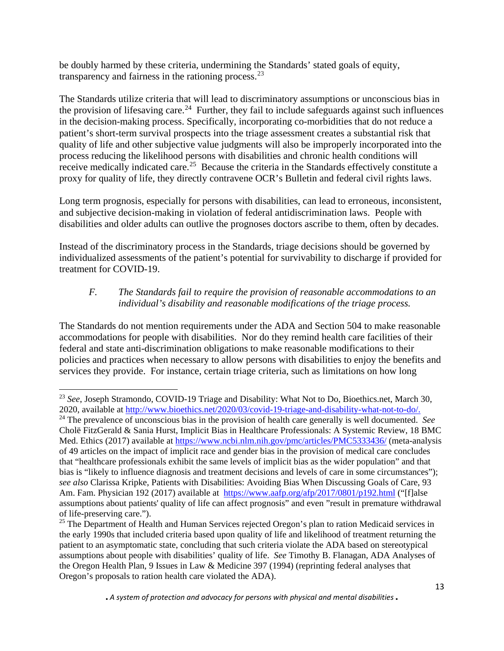be doubly harmed by these criteria, undermining the Standards' stated goals of equity, transparency and fairness in the rationing process.  $23$ 

The Standards utilize criteria that will lead to discriminatory assumptions or unconscious bias in the provision of lifesaving care.<sup>[24](#page-12-1)</sup> Further, they fail to include safeguards against such influences in the decision-making process. Specifically, incorporating co-morbidities that do not reduce a patient's short-term survival prospects into the triage assessment creates a substantial risk that quality of life and other subjective value judgments will also be improperly incorporated into the process reducing the likelihood persons with disabilities and chronic health conditions will receive medically indicated care.<sup>25</sup> Because the criteria in the Standards effectively constitute a proxy for quality of life, they directly contravene OCR's Bulletin and federal civil rights laws.

Long term prognosis, especially for persons with disabilities, can lead to erroneous, inconsistent, and subjective decision-making in violation of federal antidiscrimination laws. People with disabilities and older adults can outlive the prognoses doctors ascribe to them, often by decades.

Instead of the discriminatory process in the Standards, triage decisions should be governed by individualized assessments of the patient's potential for survivability to discharge if provided for treatment for COVID-19.

## *F. The Standards fail to require the provision of reasonable accommodations to an individual's disability and reasonable modifications of the triage process.*

The Standards do not mention requirements under the ADA and Section 504 to make reasonable accommodations for people with disabilities. Nor do they remind health care facilities of their federal and state anti-discrimination obligations to make reasonable modifications to their policies and practices when necessary to allow persons with disabilities to enjoy the benefits and services they provide. For instance, certain triage criteria, such as limitations on how long

 $\overline{a}$ 

<span id="page-12-0"></span><sup>23</sup> *See*, Joseph Stramondo, COVID-19 Triage and Disability: What Not to Do, Bioethics.net, March 30, 2020, available at [http://www.bioethics.net/2020/03/covid-19-triage-and-disability-what-not-to-do/.](http://www.bioethics.net/2020/03/covid-19-triage-and-disability-what-not-to-do/)

<span id="page-12-1"></span><sup>&</sup>lt;sup>24</sup> The prevalence of unconscious bias in the provision of health care generally is well documented. *See* Cholë FitzGerald & Sania Hurst, Implicit Bias in Healthcare Professionals: A Systemic Review, 18 BMC Med. Ethics (2017) available at<https://www.ncbi.nlm.nih.gov/pmc/articles/PMC5333436/> (meta-analysis of 49 articles on the impact of implicit race and gender bias in the provision of medical care concludes that "healthcare professionals exhibit the same levels of implicit bias as the wider population" and that bias is "likely to influence diagnosis and treatment decisions and levels of care in some circumstances"); *see also* Clarissa Kripke, Patients with Disabilities: Avoiding Bias When Discussing Goals of Care, 93 Am. Fam. Physician 192 (2017) available at <https://www.aafp.org/afp/2017/0801/p192.html> ("[f]alse assumptions about patients' quality of life can affect prognosis" and even "result in premature withdrawal of life-preserving care.").

<span id="page-12-2"></span><sup>&</sup>lt;sup>25</sup> The Department of Health and Human Services rejected Oregon's plan to ration Medicaid services in the early 1990s that included criteria based upon quality of life and likelihood of treatment returning the patient to an asymptomatic state, concluding that such criteria violate the ADA based on stereotypical assumptions about people with disabilities' quality of life. *See* Timothy B. Flanagan, ADA Analyses of the Oregon Health Plan, 9 Issues in Law & Medicine 397 (1994) (reprinting federal analyses that Oregon's proposals to ration health care violated the ADA).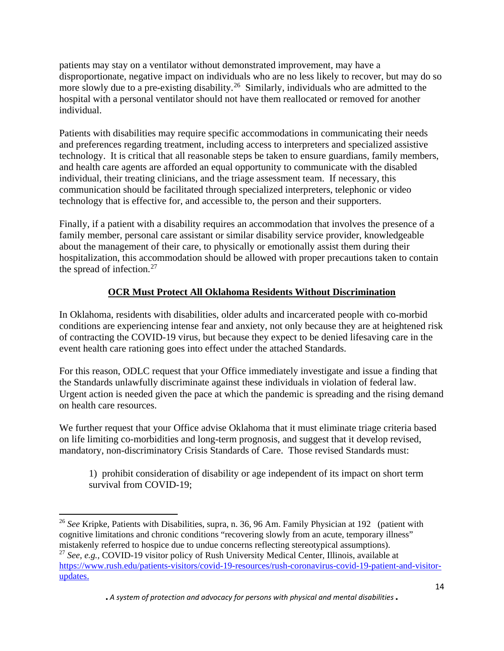patients may stay on a ventilator without demonstrated improvement, may have a disproportionate, negative impact on individuals who are no less likely to recover, but may do so more slowly due to a pre-existing disability.<sup>[26](#page-13-0)</sup> Similarly, individuals who are admitted to the hospital with a personal ventilator should not have them reallocated or removed for another individual.

Patients with disabilities may require specific accommodations in communicating their needs and preferences regarding treatment, including access to interpreters and specialized assistive technology. It is critical that all reasonable steps be taken to ensure guardians, family members, and health care agents are afforded an equal opportunity to communicate with the disabled individual, their treating clinicians, and the triage assessment team. If necessary, this communication should be facilitated through specialized interpreters, telephonic or video technology that is effective for, and accessible to, the person and their supporters.

Finally, if a patient with a disability requires an accommodation that involves the presence of a family member, personal care assistant or similar disability service provider, knowledgeable about the management of their care, to physically or emotionally assist them during their hospitalization, this accommodation should be allowed with proper precautions taken to contain the spread of infection. $27$ 

# **OCR Must Protect All Oklahoma Residents Without Discrimination**

In Oklahoma, residents with disabilities, older adults and incarcerated people with co-morbid conditions are experiencing intense fear and anxiety, not only because they are at heightened risk of contracting the COVID-19 virus, but because they expect to be denied lifesaving care in the event health care rationing goes into effect under the attached Standards.

For this reason, ODLC request that your Office immediately investigate and issue a finding that the Standards unlawfully discriminate against these individuals in violation of federal law. Urgent action is needed given the pace at which the pandemic is spreading and the rising demand on health care resources.

We further request that your Office advise Oklahoma that it must eliminate triage criteria based on life limiting co-morbidities and long-term prognosis, and suggest that it develop revised, mandatory, non-discriminatory Crisis Standards of Care. Those revised Standards must:

1) prohibit consideration of disability or age independent of its impact on short term survival from COVID-19;

 $\overline{\phantom{a}}$ 

<span id="page-13-1"></span><span id="page-13-0"></span><sup>26</sup> *See* Kripke, Patients with Disabilities, supra, n. 36, 96 Am. Family Physician at 192 (patient with cognitive limitations and chronic conditions "recovering slowly from an acute, temporary illness" mistakenly referred to hospice due to undue concerns reflecting stereotypical assumptions). <sup>27</sup> *See, e.g.,* COVID-19 visitor policy of Rush University Medical Center, Illinois, available at [https://www.rush.edu/patients-visitors/covid-19-resources/rush-coronavirus-covid-19-patient-and-visitor](https://www.rush.edu/patients-visitors/covid-19-resources/rush-coronavirus-covid-19-patient-and-visitor-updates)[updates.](https://www.rush.edu/patients-visitors/covid-19-resources/rush-coronavirus-covid-19-patient-and-visitor-updates)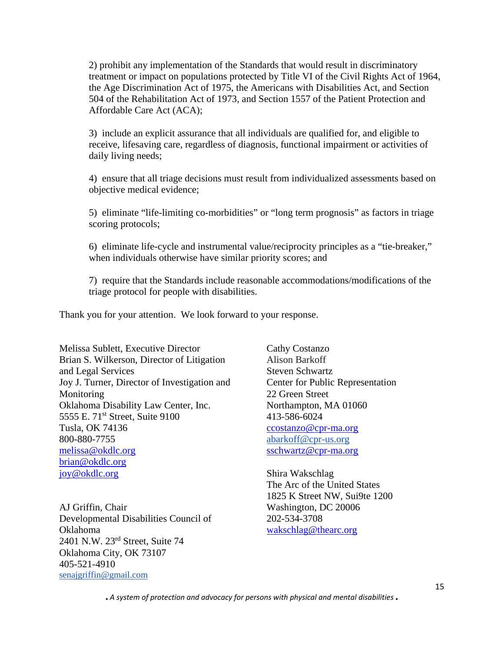2) prohibit any implementation of the Standards that would result in discriminatory treatment or impact on populations protected by Title VI of the Civil Rights Act of 1964, the Age Discrimination Act of 1975, the Americans with Disabilities Act, and Section 504 of the Rehabilitation Act of 1973, and Section 1557 of the Patient Protection and Affordable Care Act (ACA);

3) include an explicit assurance that all individuals are qualified for, and eligible to receive, lifesaving care, regardless of diagnosis, functional impairment or activities of daily living needs;

4) ensure that all triage decisions must result from individualized assessments based on objective medical evidence;

5) eliminate "life-limiting co-morbidities" or "long term prognosis" as factors in triage scoring protocols;

6) eliminate life-cycle and instrumental value/reciprocity principles as a "tie-breaker," when individuals otherwise have similar priority scores; and

7) require that the Standards include reasonable accommodations/modifications of the triage protocol for people with disabilities.

Thank you for your attention. We look forward to your response.

Melissa Sublett, Executive Director Brian S. Wilkerson, Director of Litigation and Legal Services Joy J. Turner, Director of Investigation and Monitoring Oklahoma Disability Law Center, Inc. 5555 E. 71<sup>st</sup> Street, Suite 9100 Tusla, OK 74136 800-880-7755 [melissa@okdlc.org](mailto:melissa@okdlc.org) [brian@okdlc.org](mailto:brian@okdlc.org) [joy@okdlc.org](mailto:joy@okdlc.org)

AJ Griffin, Chair Developmental Disabilities Council of Oklahoma 2401 N.W. 23rd Street, Suite 74 Oklahoma City, OK 73107 405-521-4910 [senajgriffin@gmail.com](mailto:senajgriffin@gmail.com)

Cathy Costanzo Alison Barkoff Steven Schwartz Center for Public Representation 22 Green Street Northampton, MA 01060 413-586-6024 [ccostanzo@cpr-ma.org](mailto:ccostanzo@cpr-ma.org) [abarkoff@cpr-us.org](mailto:abarkoff@cpr-us.org) [sschwartz@cpr-ma.org](mailto:sschwartz@cpr-ma.org)

Shira Wakschlag The Arc of the United States 1825 K Street NW, Sui9te 1200 Washington, DC 20006 202-534-3708 [wakschlag@thearc.org](mailto:wakschlag@thearc.org)

■ *A system of protection and advocacy for persons with physical and mental disabilities* ■